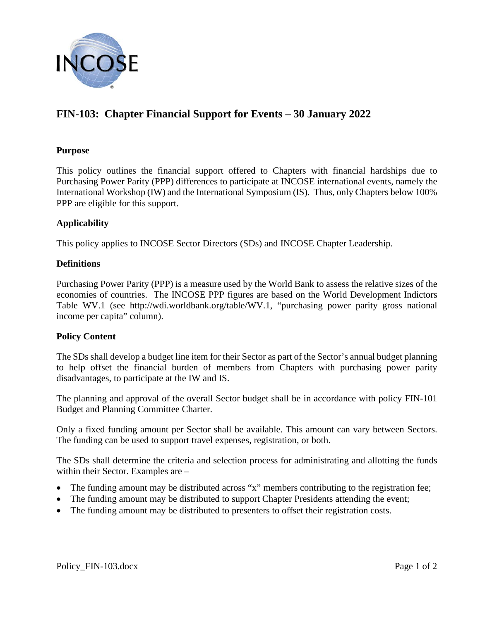

# **FIN-103: Chapter Financial Support for Events – 30 January 2022**

### **Purpose**

This policy outlines the financial support offered to Chapters with financial hardships due to Purchasing Power Parity (PPP) differences to participate at INCOSE international events, namely the International Workshop (IW) and the International Symposium (IS). Thus, only Chapters below 100% PPP are eligible for this support.

## **Applicability**

This policy applies to INCOSE Sector Directors (SDs) and INCOSE Chapter Leadership.

#### **Definitions**

Purchasing Power Parity (PPP) is a measure used by the World Bank to assess the relative sizes of the economies of countries. The INCOSE PPP figures are based on the World Development Indictors Table WV.1 (see http://wdi.worldbank.org/table/WV.1, "purchasing power parity gross national income per capita" column).

#### **Policy Content**

The SDs shall develop a budget line item for their Sector as part of the Sector's annual budget planning to help offset the financial burden of members from Chapters with purchasing power parity disadvantages, to participate at the IW and IS.

The planning and approval of the overall Sector budget shall be in accordance with policy FIN-101 Budget and Planning Committee Charter.

Only a fixed funding amount per Sector shall be available. This amount can vary between Sectors. The funding can be used to support travel expenses, registration, or both.

The SDs shall determine the criteria and selection process for administrating and allotting the funds within their Sector. Examples are –

- The funding amount may be distributed across "x" members contributing to the registration fee;
- The funding amount may be distributed to support Chapter Presidents attending the event;
- The funding amount may be distributed to presenters to offset their registration costs.